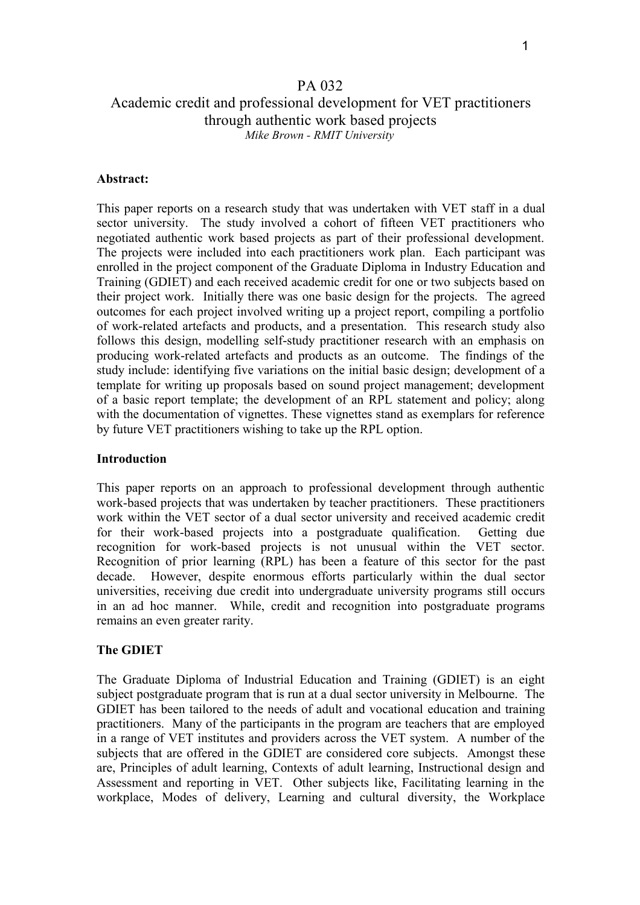#### PA 032

# Academic credit and professional development for VET practitioners through authentic work based projects *Mike Brown - RMIT University*

#### **Abstract:**

This paper reports on a research study that was undertaken with VET staff in a dual sector university. The study involved a cohort of fifteen VET practitioners who negotiated authentic work based projects as part of their professional development. The projects were included into each practitioners work plan. Each participant was enrolled in the project component of the Graduate Diploma in Industry Education and Training (GDIET) and each received academic credit for one or two subjects based on their project work. Initially there was one basic design for the projects. The agreed outcomes for each project involved writing up a project report, compiling a portfolio of work-related artefacts and products, and a presentation. This research study also follows this design, modelling self-study practitioner research with an emphasis on producing work-related artefacts and products as an outcome. The findings of the study include: identifying five variations on the initial basic design; development of a template for writing up proposals based on sound project management; development of a basic report template; the development of an RPL statement and policy; along with the documentation of vignettes. These vignettes stand as exemplars for reference by future VET practitioners wishing to take up the RPL option.

#### **Introduction**

This paper reports on an approach to professional development through authentic work-based projects that was undertaken by teacher practitioners. These practitioners work within the VET sector of a dual sector university and received academic credit for their work-based projects into a postgraduate qualification. Getting due recognition for work-based projects is not unusual within the VET sector. Recognition of prior learning (RPL) has been a feature of this sector for the past decade. However, despite enormous efforts particularly within the dual sector universities, receiving due credit into undergraduate university programs still occurs in an ad hoc manner. While, credit and recognition into postgraduate programs remains an even greater rarity.

#### **The GDIET**

The Graduate Diploma of Industrial Education and Training (GDIET) is an eight subject postgraduate program that is run at a dual sector university in Melbourne. The GDIET has been tailored to the needs of adult and vocational education and training practitioners. Many of the participants in the program are teachers that are employed in a range of VET institutes and providers across the VET system. A number of the subjects that are offered in the GDIET are considered core subjects. Amongst these are, Principles of adult learning, Contexts of adult learning, Instructional design and Assessment and reporting in VET. Other subjects like, Facilitating learning in the workplace, Modes of delivery, Learning and cultural diversity, the Workplace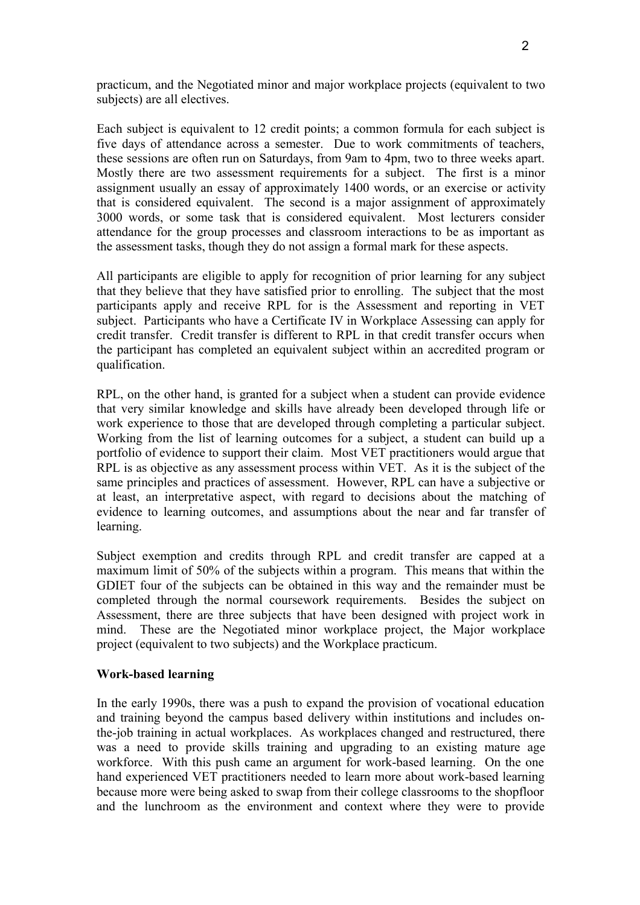practicum, and the Negotiated minor and major workplace projects (equivalent to two subjects) are all electives.

Each subject is equivalent to 12 credit points; a common formula for each subject is five days of attendance across a semester. Due to work commitments of teachers, these sessions are often run on Saturdays, from 9am to 4pm, two to three weeks apart. Mostly there are two assessment requirements for a subject. The first is a minor assignment usually an essay of approximately 1400 words, or an exercise or activity that is considered equivalent. The second is a major assignment of approximately 3000 words, or some task that is considered equivalent. Most lecturers consider attendance for the group processes and classroom interactions to be as important as the assessment tasks, though they do not assign a formal mark for these aspects.

All participants are eligible to apply for recognition of prior learning for any subject that they believe that they have satisfied prior to enrolling. The subject that the most participants apply and receive RPL for is the Assessment and reporting in VET subject. Participants who have a Certificate IV in Workplace Assessing can apply for credit transfer. Credit transfer is different to RPL in that credit transfer occurs when the participant has completed an equivalent subject within an accredited program or qualification.

RPL, on the other hand, is granted for a subject when a student can provide evidence that very similar knowledge and skills have already been developed through life or work experience to those that are developed through completing a particular subject. Working from the list of learning outcomes for a subject, a student can build up a portfolio of evidence to support their claim. Most VET practitioners would argue that RPL is as objective as any assessment process within VET. As it is the subject of the same principles and practices of assessment. However, RPL can have a subjective or at least, an interpretative aspect, with regard to decisions about the matching of evidence to learning outcomes, and assumptions about the near and far transfer of learning.

Subject exemption and credits through RPL and credit transfer are capped at a maximum limit of 50% of the subjects within a program. This means that within the GDIET four of the subjects can be obtained in this way and the remainder must be completed through the normal coursework requirements. Besides the subject on Assessment, there are three subjects that have been designed with project work in mind. These are the Negotiated minor workplace project, the Major workplace project (equivalent to two subjects) and the Workplace practicum.

### **Work-based learning**

In the early 1990s, there was a push to expand the provision of vocational education and training beyond the campus based delivery within institutions and includes onthe-job training in actual workplaces. As workplaces changed and restructured, there was a need to provide skills training and upgrading to an existing mature age workforce. With this push came an argument for work-based learning. On the one hand experienced VET practitioners needed to learn more about work-based learning because more were being asked to swap from their college classrooms to the shopfloor and the lunchroom as the environment and context where they were to provide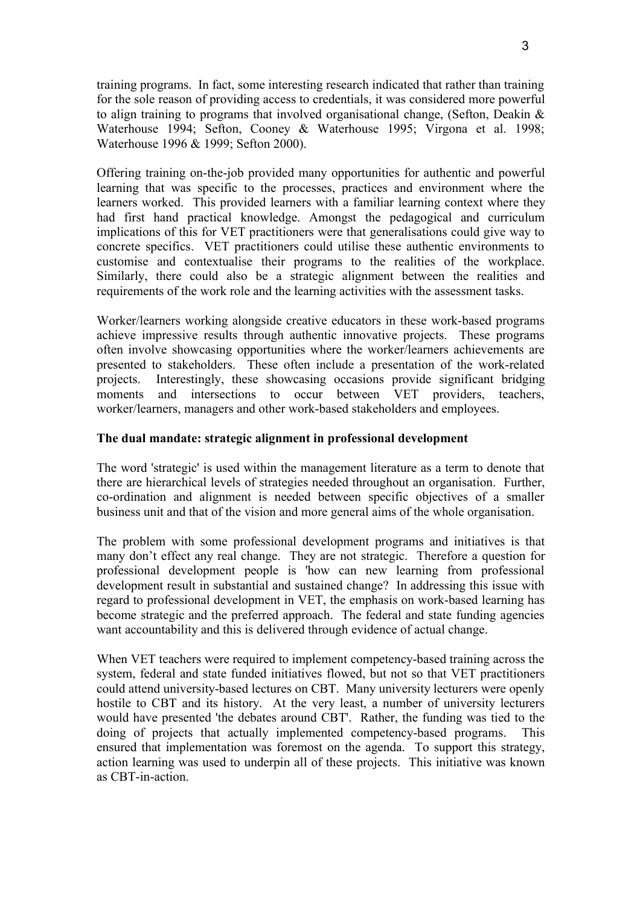training programs. In fact, some interesting research indicated that rather than training for the sole reason of providing access to credentials, it was considered more powerful to align training to programs that involved organisational change, (Sefton, Deakin & Waterhouse 1994; Sefton, Cooney & Waterhouse 1995; Virgona et al. 1998; Waterhouse 1996 & 1999; Sefton 2000).

Offering training on-the-job provided many opportunities for authentic and powerful learning that was specific to the processes, practices and environment where the learners worked. This provided learners with a familiar learning context where they had first hand practical knowledge. Amongst the pedagogical and curriculum implications of this for VET practitioners were that generalisations could give way to concrete specifics. VET practitioners could utilise these authentic environments to customise and contextualise their programs to the realities of the workplace. Similarly, there could also be a strategic alignment between the realities and requirements of the work role and the learning activities with the assessment tasks.

Worker/learners working alongside creative educators in these work-based programs achieve impressive results through authentic innovative projects. These programs often involve showcasing opportunities where the worker/learners achievements are presented to stakeholders. These often include a presentation of the work-related projects. Interestingly, these showcasing occasions provide significant bridging moments and intersections to occur between VET providers, teachers, worker/learners, managers and other work-based stakeholders and employees.

## **The dual mandate: strategic alignment in professional development**

The word 'strategic' is used within the management literature as a term to denote that there are hierarchical levels of strategies needed throughout an organisation. Further, co-ordination and alignment is needed between specific objectives of a smaller business unit and that of the vision and more general aims of the whole organisation.

The problem with some professional development programs and initiatives is that many don't effect any real change. They are not strategic. Therefore a question for professional development people is 'how can new learning from professional development result in substantial and sustained change? In addressing this issue with regard to professional development in VET, the emphasis on work-based learning has become strategic and the preferred approach. The federal and state funding agencies want accountability and this is delivered through evidence of actual change.

When VET teachers were required to implement competency-based training across the system, federal and state funded initiatives flowed, but not so that VET practitioners could attend university-based lectures on CBT. Many university lecturers were openly hostile to CBT and its history. At the very least, a number of university lecturers would have presented 'the debates around CBT'. Rather, the funding was tied to the doing of projects that actually implemented competency-based programs. This ensured that implementation was foremost on the agenda. To support this strategy, action learning was used to underpin all of these projects. This initiative was known as CBT-in-action.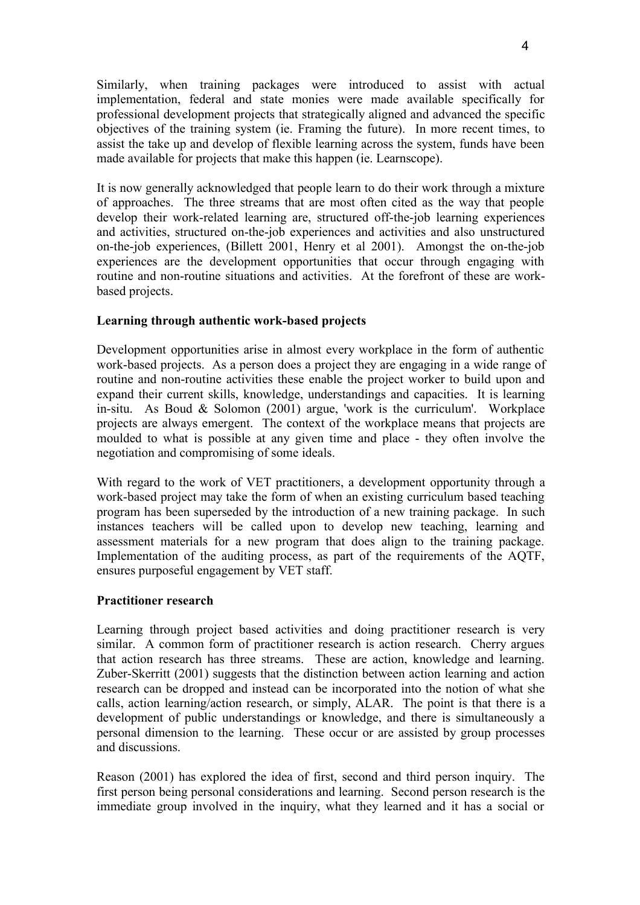Similarly, when training packages were introduced to assist with actual implementation, federal and state monies were made available specifically for professional development projects that strategically aligned and advanced the specific objectives of the training system (ie. Framing the future). In more recent times, to assist the take up and develop of flexible learning across the system, funds have been made available for projects that make this happen (ie. Learnscope).

It is now generally acknowledged that people learn to do their work through a mixture of approaches. The three streams that are most often cited as the way that people develop their work-related learning are, structured off-the-job learning experiences and activities, structured on-the-job experiences and activities and also unstructured on-the-job experiences, (Billett 2001, Henry et al 2001). Amongst the on-the-job experiences are the development opportunities that occur through engaging with routine and non-routine situations and activities. At the forefront of these are workbased projects.

# **Learning through authentic work-based projects**

Development opportunities arise in almost every workplace in the form of authentic work-based projects. As a person does a project they are engaging in a wide range of routine and non-routine activities these enable the project worker to build upon and expand their current skills, knowledge, understandings and capacities. It is learning in-situ. As Boud  $\&$  Solomon (2001) argue, 'work is the curriculum'. Workplace projects are always emergent. The context of the workplace means that projects are moulded to what is possible at any given time and place - they often involve the negotiation and compromising of some ideals.

With regard to the work of VET practitioners, a development opportunity through a work-based project may take the form of when an existing curriculum based teaching program has been superseded by the introduction of a new training package. In such instances teachers will be called upon to develop new teaching, learning and assessment materials for a new program that does align to the training package. Implementation of the auditing process, as part of the requirements of the AQTF, ensures purposeful engagement by VET staff.

### **Practitioner research**

Learning through project based activities and doing practitioner research is very similar. A common form of practitioner research is action research. Cherry argues that action research has three streams. These are action, knowledge and learning. Zuber-Skerritt (2001) suggests that the distinction between action learning and action research can be dropped and instead can be incorporated into the notion of what she calls, action learning/action research, or simply, ALAR. The point is that there is a development of public understandings or knowledge, and there is simultaneously a personal dimension to the learning. These occur or are assisted by group processes and discussions.

Reason (2001) has explored the idea of first, second and third person inquiry. The first person being personal considerations and learning. Second person research is the immediate group involved in the inquiry, what they learned and it has a social or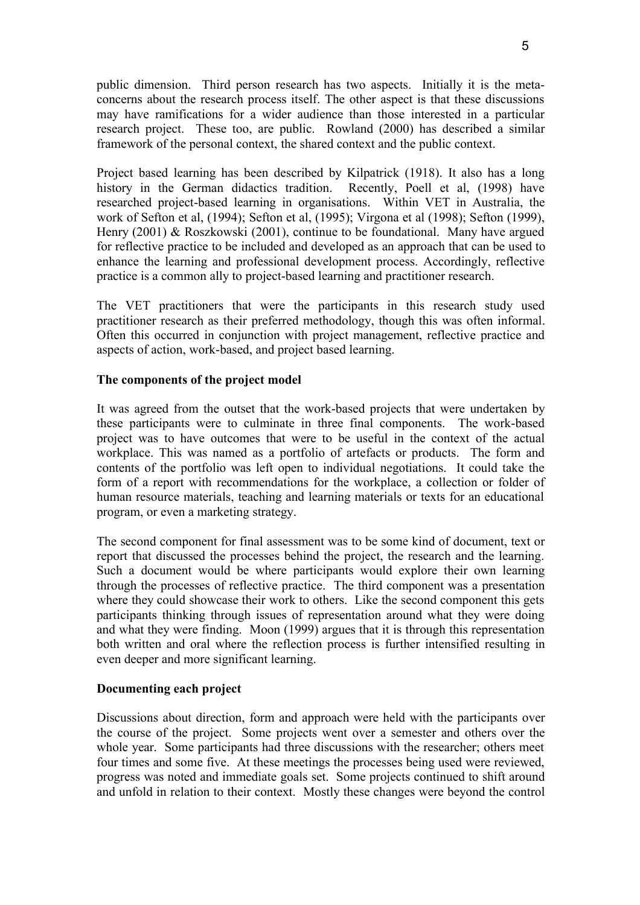public dimension. Third person research has two aspects. Initially it is the metaconcerns about the research process itself. The other aspect is that these discussions may have ramifications for a wider audience than those interested in a particular research project. These too, are public. Rowland (2000) has described a similar framework of the personal context, the shared context and the public context.

Project based learning has been described by Kilpatrick (1918). It also has a long history in the German didactics tradition. Recently, Poell et al, (1998) have researched project-based learning in organisations. Within VET in Australia, the work of Sefton et al, (1994); Sefton et al, (1995); Virgona et al (1998); Sefton (1999), Henry (2001) & Roszkowski (2001), continue to be foundational. Many have argued for reflective practice to be included and developed as an approach that can be used to enhance the learning and professional development process. Accordingly, reflective practice is a common ally to project-based learning and practitioner research.

The VET practitioners that were the participants in this research study used practitioner research as their preferred methodology, though this was often informal. Often this occurred in conjunction with project management, reflective practice and aspects of action, work-based, and project based learning.

## **The components of the project model**

It was agreed from the outset that the work-based projects that were undertaken by these participants were to culminate in three final components. The work-based project was to have outcomes that were to be useful in the context of the actual workplace. This was named as a portfolio of artefacts or products. The form and contents of the portfolio was left open to individual negotiations. It could take the form of a report with recommendations for the workplace, a collection or folder of human resource materials, teaching and learning materials or texts for an educational program, or even a marketing strategy.

The second component for final assessment was to be some kind of document, text or report that discussed the processes behind the project, the research and the learning. Such a document would be where participants would explore their own learning through the processes of reflective practice. The third component was a presentation where they could showcase their work to others. Like the second component this gets participants thinking through issues of representation around what they were doing and what they were finding. Moon (1999) argues that it is through this representation both written and oral where the reflection process is further intensified resulting in even deeper and more significant learning.

### **Documenting each project**

Discussions about direction, form and approach were held with the participants over the course of the project. Some projects went over a semester and others over the whole year. Some participants had three discussions with the researcher; others meet four times and some five. At these meetings the processes being used were reviewed, progress was noted and immediate goals set. Some projects continued to shift around and unfold in relation to their context. Mostly these changes were beyond the control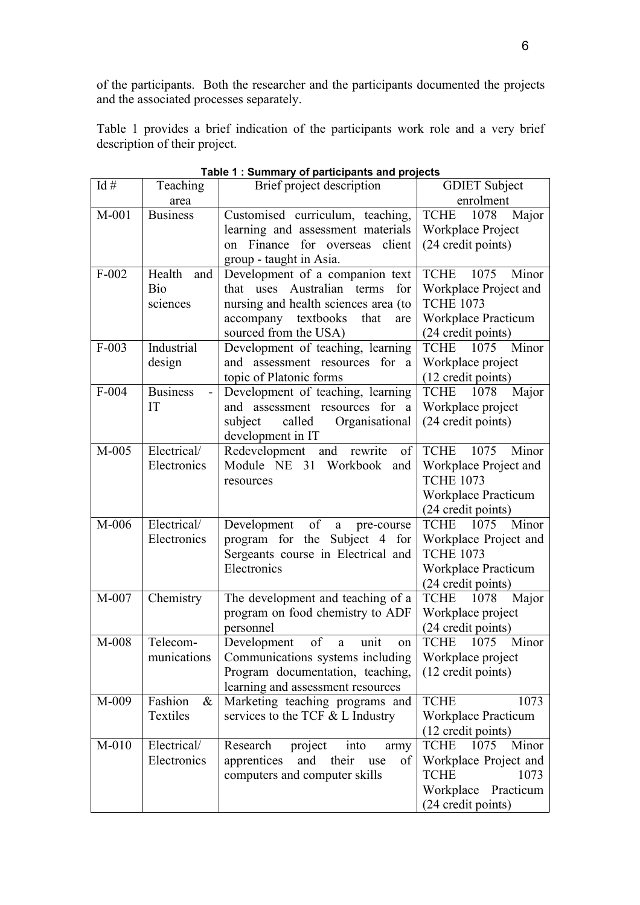of the participants. Both the researcher and the participants documented the projects and the associated processes separately.

Table 1 provides a brief indication of the participants work role and a very brief description of their project.

| Id#     | Teaching              | Brief project description                                | <b>GDIET</b> Subject                               |
|---------|-----------------------|----------------------------------------------------------|----------------------------------------------------|
|         | area                  |                                                          | enrolment                                          |
| $M-001$ | <b>Business</b>       | Customised curriculum, teaching,                         | <b>TCHE</b><br>1078<br>Major                       |
|         |                       | learning and assessment materials                        | Workplace Project                                  |
|         |                       | on Finance for overseas<br>client                        | (24 credit points)                                 |
|         |                       | group - taught in Asia.                                  |                                                    |
| $F-002$ | Health<br>and         | Development of a companion text                          | 1075<br>Minor<br><b>TCHE</b>                       |
|         | Bio                   | that uses Australian terms<br>for                        | Workplace Project and                              |
|         | sciences              | nursing and health sciences area (to                     | <b>TCHE 1073</b>                                   |
|         |                       | textbooks<br>accompany<br>that<br>are                    | <b>Workplace Practicum</b>                         |
|         |                       | sourced from the USA)                                    | (24 credit points)                                 |
| $F-003$ | Industrial            | Development of teaching, learning                        | Minor<br>TCHE 1075                                 |
|         | design                | assessment resources for<br>and<br>a                     | Workplace project                                  |
|         |                       | topic of Platonic forms                                  | (12 credit points)                                 |
| $F-004$ | <b>Business</b><br>IT | Development of teaching, learning                        | <b>TCHE</b><br>Major<br>1078                       |
|         |                       | and assessment resources for a                           | Workplace project<br>(24 credit points)            |
|         |                       | Organisational<br>subject<br>called<br>development in IT |                                                    |
| $M-005$ | Electrical/           | Redevelopment<br>and rewrite<br>of                       | 1075<br>Minor<br><b>TCHE</b>                       |
|         | Electronics           | Module NE 31 Workbook and                                | Workplace Project and                              |
|         |                       | resources                                                | <b>TCHE 1073</b>                                   |
|         |                       |                                                          | <b>Workplace Practicum</b>                         |
|         |                       |                                                          | (24 credit points)                                 |
| M-006   | Electrical/           | of<br>Development<br>a pre-course                        | <b>TCHE</b><br>1075<br>Minor                       |
|         | Electronics           | program for the Subject 4 for                            | Workplace Project and                              |
|         |                       | Sergeants course in Electrical and                       | <b>TCHE 1073</b>                                   |
|         |                       | Electronics                                              | <b>Workplace Practicum</b>                         |
|         |                       |                                                          | (24 credit points)                                 |
| M-007   | Chemistry             | The development and teaching of a                        | <b>TCHE</b><br>1078<br>Major                       |
|         |                       | program on food chemistry to ADF                         | Workplace project                                  |
|         |                       | personnel                                                | (24 credit points)                                 |
| M-008   | Telecom-              | Development<br>of<br>$\mathbf{a}$<br>unit<br>on          | <b>TCHE</b><br>1075<br>Minor                       |
|         | munications           | Communications systems including                         | Workplace project                                  |
|         |                       | Program documentation, teaching,                         | (12 credit points)                                 |
|         |                       | learning and assessment resources                        |                                                    |
| M-009   | Fashion<br>$\&$       | Marketing teaching programs and                          | <b>TCHE</b><br>1073                                |
|         | Textiles              | services to the TCF $&$ L Industry                       | Workplace Practicum                                |
| $M-010$ | Electrical/           | Research<br>project<br>into                              | (12 credit points)<br><b>TCHE</b><br>1075<br>Minor |
|         | Electronics           | army<br>apprentices<br>and<br>their<br>of<br>use         | Workplace Project and                              |
|         |                       | computers and computer skills                            | <b>TCHE</b><br>1073                                |
|         |                       |                                                          |                                                    |
|         |                       |                                                          |                                                    |
|         |                       |                                                          | Workplace Practicum<br>(24 credit points)          |

**Table 1 : Summary of participants and projects**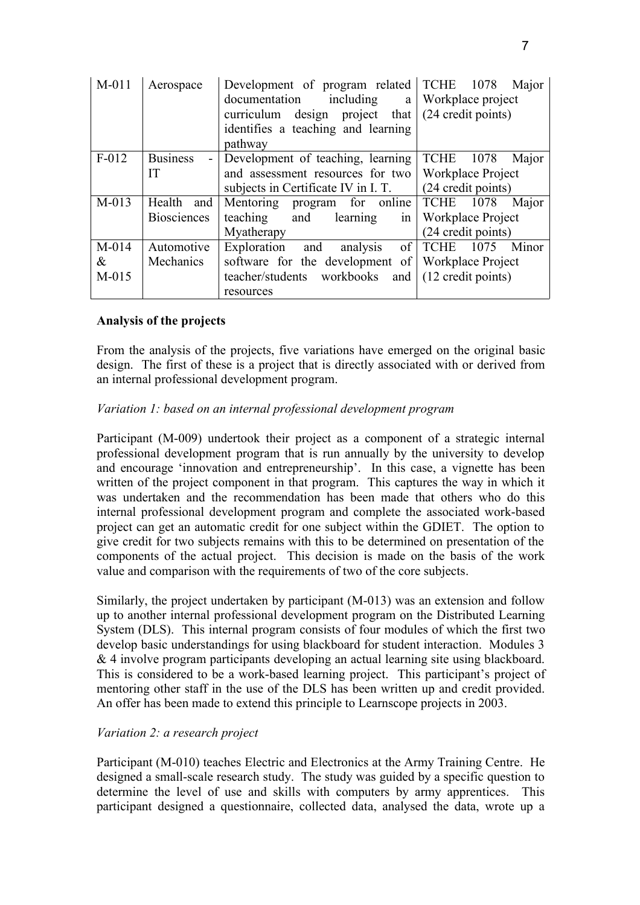| $M-011$ | Aerospace          | Development of program related TCHE<br>documentation<br>including<br>a<br>design project that<br>curriculum<br>identifies a teaching and learning<br>pathway | 1078<br>Major<br>Workplace project<br>(24 credit points) |
|---------|--------------------|--------------------------------------------------------------------------------------------------------------------------------------------------------------|----------------------------------------------------------|
| $F-012$ | <b>Business</b>    | Development of teaching, learning                                                                                                                            | <b>TCHE</b> 1078<br>Major                                |
|         | IT                 | and assessment resources for two                                                                                                                             | Workplace Project                                        |
|         |                    | subjects in Certificate IV in I.T.                                                                                                                           | (24 credit points)                                       |
| $M-013$ | Health<br>and      | Mentoring program for online                                                                                                                                 | <b>TCHE</b><br>1078<br>Major                             |
|         | <b>Biosciences</b> | teaching<br>and<br>learning<br>1n                                                                                                                            | <b>Workplace Project</b>                                 |
|         |                    | Myatherapy                                                                                                                                                   | (24 credit points)                                       |
| $M-014$ | Automotive         | of<br>analysis<br>Exploration<br>and                                                                                                                         | <b>TCHE</b><br>1075<br>Minor                             |
| &       | Mechanics          | software for the development of                                                                                                                              | Workplace Project                                        |
| $M-015$ |                    | teacher/students workbooks<br>and                                                                                                                            | (12 credit points)                                       |
|         |                    | resources                                                                                                                                                    |                                                          |

## **Analysis of the projects**

From the analysis of the projects, five variations have emerged on the original basic design. The first of these is a project that is directly associated with or derived from an internal professional development program.

### *Variation 1: based on an internal professional development program*

Participant (M-009) undertook their project as a component of a strategic internal professional development program that is run annually by the university to develop and encourage 'innovation and entrepreneurship'. In this case, a vignette has been written of the project component in that program. This captures the way in which it was undertaken and the recommendation has been made that others who do this internal professional development program and complete the associated work-based project can get an automatic credit for one subject within the GDIET. The option to give credit for two subjects remains with this to be determined on presentation of the components of the actual project. This decision is made on the basis of the work value and comparison with the requirements of two of the core subjects.

Similarly, the project undertaken by participant (M-013) was an extension and follow up to another internal professional development program on the Distributed Learning System (DLS). This internal program consists of four modules of which the first two develop basic understandings for using blackboard for student interaction. Modules 3 & 4 involve program participants developing an actual learning site using blackboard. This is considered to be a work-based learning project. This participant's project of mentoring other staff in the use of the DLS has been written up and credit provided. An offer has been made to extend this principle to Learnscope projects in 2003.

### *Variation 2: a research project*

Participant (M-010) teaches Electric and Electronics at the Army Training Centre. He designed a small-scale research study. The study was guided by a specific question to determine the level of use and skills with computers by army apprentices. This participant designed a questionnaire, collected data, analysed the data, wrote up a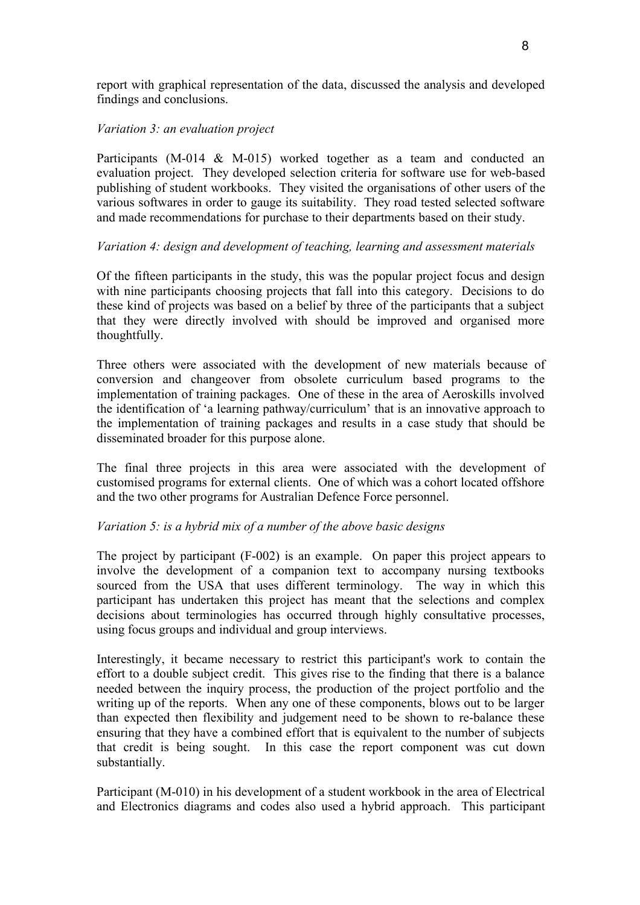report with graphical representation of the data, discussed the analysis and developed findings and conclusions.

## *Variation 3: an evaluation project*

Participants (M-014 & M-015) worked together as a team and conducted an evaluation project. They developed selection criteria for software use for web-based publishing of student workbooks. They visited the organisations of other users of the various softwares in order to gauge its suitability. They road tested selected software and made recommendations for purchase to their departments based on their study.

# *Variation 4: design and development of teaching, learning and assessment materials*

Of the fifteen participants in the study, this was the popular project focus and design with nine participants choosing projects that fall into this category. Decisions to do these kind of projects was based on a belief by three of the participants that a subject that they were directly involved with should be improved and organised more thoughtfully.

Three others were associated with the development of new materials because of conversion and changeover from obsolete curriculum based programs to the implementation of training packages. One of these in the area of Aeroskills involved the identification of 'a learning pathway/curriculum' that is an innovative approach to the implementation of training packages and results in a case study that should be disseminated broader for this purpose alone.

The final three projects in this area were associated with the development of customised programs for external clients. One of which was a cohort located offshore and the two other programs for Australian Defence Force personnel.

# *Variation 5: is a hybrid mix of a number of the above basic designs*

The project by participant (F-002) is an example. On paper this project appears to involve the development of a companion text to accompany nursing textbooks sourced from the USA that uses different terminology. The way in which this participant has undertaken this project has meant that the selections and complex decisions about terminologies has occurred through highly consultative processes, using focus groups and individual and group interviews.

Interestingly, it became necessary to restrict this participant's work to contain the effort to a double subject credit. This gives rise to the finding that there is a balance needed between the inquiry process, the production of the project portfolio and the writing up of the reports. When any one of these components, blows out to be larger than expected then flexibility and judgement need to be shown to re-balance these ensuring that they have a combined effort that is equivalent to the number of subjects that credit is being sought. In this case the report component was cut down substantially.

Participant (M-010) in his development of a student workbook in the area of Electrical and Electronics diagrams and codes also used a hybrid approach. This participant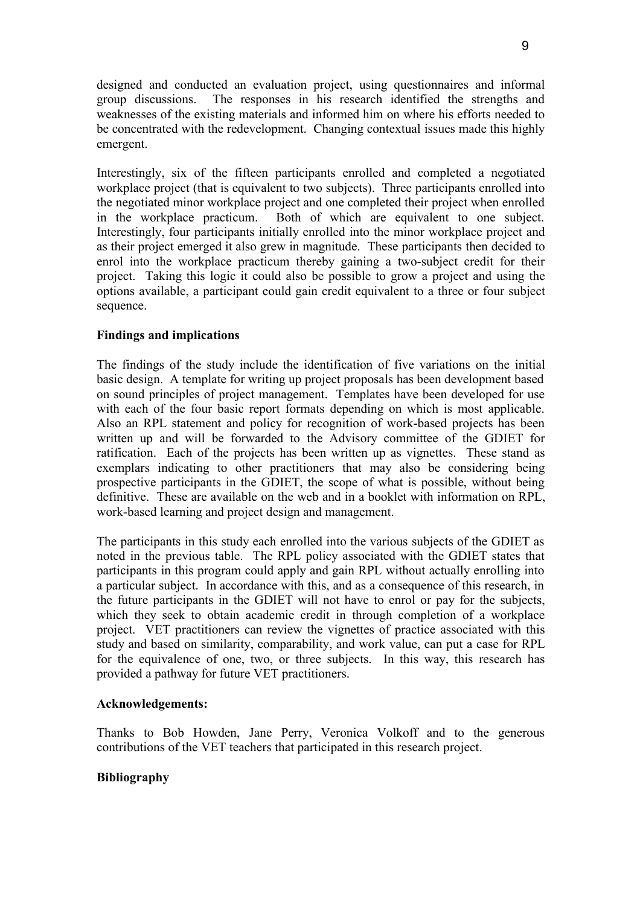designed and conducted an evaluation project, using questionnaires and informal group discussions. The responses in his research identified the strengths and weaknesses of the existing materials and informed him on where his efforts needed to be concentrated with the redevelopment. Changing contextual issues made this highly emergent.

Interestingly, six of the fifteen participants enrolled and completed a negotiated workplace project (that is equivalent to two subjects). Three participants enrolled into the negotiated minor workplace project and one completed their project when enrolled in the workplace practicum. Both of which are equivalent to one subject. Interestingly, four participants initially enrolled into the minor workplace project and as their project emerged it also grew in magnitude. These participants then decided to enrol into the workplace practicum thereby gaining a two-subject credit for their project. Taking this logic it could also be possible to grow a project and using the options available, a participant could gain credit equivalent to a three or four subject sequence.

## **Findings and implications**

The findings of the study include the identification of five variations on the initial basic design. A template for writing up project proposals has been development based on sound principles of project management. Templates have been developed for use with each of the four basic report formats depending on which is most applicable. Also an RPL statement and policy for recognition of work-based projects has been written up and will be forwarded to the Advisory committee of the GDIET for ratification. Each of the projects has been written up as vignettes. These stand as exemplars indicating to other practitioners that may also be considering being prospective participants in the GDIET, the scope of what is possible, without being definitive. These are available on the web and in a booklet with information on RPL, work-based learning and project design and management.

The participants in this study each enrolled into the various subjects of the GDIET as noted in the previous table. The RPL policy associated with the GDIET states that participants in this program could apply and gain RPL without actually enrolling into a particular subject. In accordance with this, and as a consequence of this research, in the future participants in the GDIET will not have to enrol or pay for the subjects, which they seek to obtain academic credit in through completion of a workplace project. VET practitioners can review the vignettes of practice associated with this study and based on similarity, comparability, and work value, can put a case for RPL for the equivalence of one, two, or three subjects. In this way, this research has provided a pathway for future VET practitioners.

### **Acknowledgements:**

Thanks to Bob Howden, Jane Perry, Veronica Volkoff and to the generous contributions of the VET teachers that participated in this research project.

### **Bibliography**